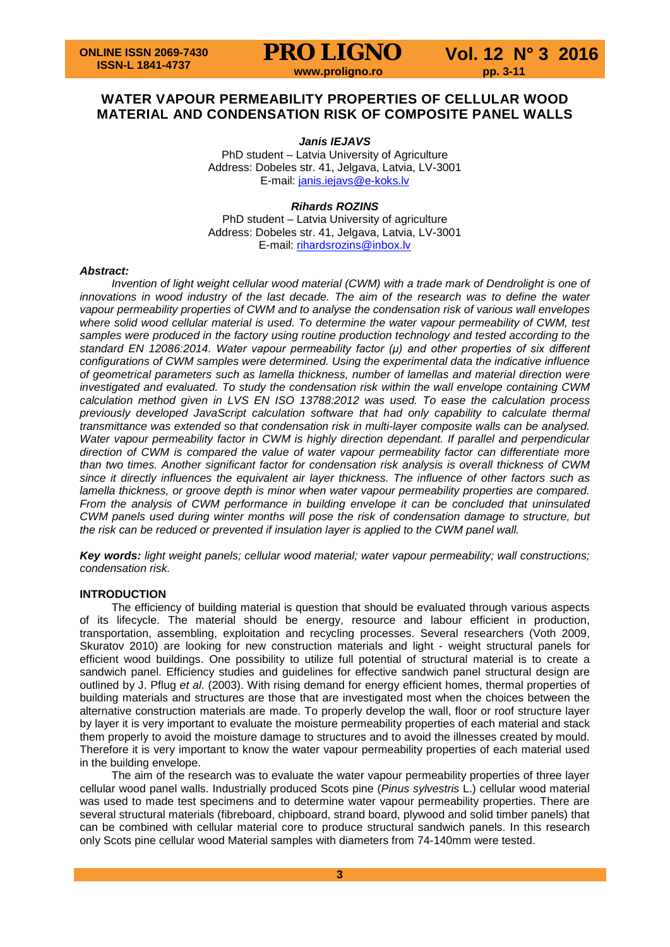

# **WATER VAPOUR PERMEABILITY PROPERTIES OF CELLULAR WOOD MATERIAL AND CONDENSATION RISK OF COMPOSITE PANEL WALLS**

# *Janis IEJAVS*

PhD student – Latvia University of Agriculture Address: Dobeles str. 41, Jelgava, Latvia, LV-3001 E-mail: [janis.iejavs@e-koks.lv](mailto:janis.iejavs@e-koks.lv)

# *Rihards ROZINS*

PhD student – Latvia University of agriculture Address: Dobeles str. 41, Jelgava, Latvia, LV-3001 E-mail: [rihardsrozins@inbox.lv](mailto:rihardsrozins@inbox.lv)

## *Abstract:*

*Invention of light weight cellular wood material (CWM) with a trade mark of Dendrolight is one of innovations in wood industry of the last decade. The aim of the research was to define the water vapour permeability properties of CWM and to analyse the condensation risk of various wall envelopes where solid wood cellular material is used. To determine the water vapour permeability of CWM, test samples were produced in the factory using routine production technology and tested according to the standard EN 12086:2014. Water vapour permeability factor (μ) and other properties of six different configurations of CWM samples were determined. Using the experimental data the indicative influence of geometrical parameters such as lamella thickness, number of lamellas and material direction were investigated and evaluated. To study the condensation risk within the wall envelope containing CWM calculation method given in LVS EN ISO 13788:2012 was used. To ease the calculation process previously developed JavaScript calculation software that had only capability to calculate thermal transmittance was extended so that condensation risk in multi-layer composite walls can be analysed. Water vapour permeability factor in CWM is highly direction dependant. If parallel and perpendicular direction of CWM is compared the value of water vapour permeability factor can differentiate more than two times. Another significant factor for condensation risk analysis is overall thickness of CWM since it directly influences the equivalent air layer thickness. The influence of other factors such as lamella thickness, or groove depth is minor when water vapour permeability properties are compared. From the analysis of CWM performance in building envelope it can be concluded that uninsulated CWM panels used during winter months will pose the risk of condensation damage to structure, but the risk can be reduced or prevented if insulation layer is applied to the CWM panel wall.*

*Key words: light weight panels; cellular wood material; water vapour permeability; wall constructions; condensation risk.*

## **INTRODUCTION**

The efficiency of building material is question that should be evaluated through various aspects of its lifecycle. The material should be energy, resource and labour efficient in production, transportation, assembling, exploitation and recycling processes. Several researchers (Voth 2009, Skuratov 2010) are looking for new construction materials and light - weight structural panels for efficient wood buildings. One possibility to utilize full potential of structural material is to create a sandwich panel. Efficiency studies and guidelines for effective sandwich panel structural design are outlined by J. Pflug *et al*. (2003). With rising demand for energy efficient homes, thermal properties of building materials and structures are those that are investigated most when the choices between the alternative construction materials are made. To properly develop the wall, floor or roof structure layer by layer it is very important to evaluate the moisture permeability properties of each material and stack them properly to avoid the moisture damage to structures and to avoid the illnesses created by mould. Therefore it is very important to know the water vapour permeability properties of each material used in the building envelope.

The aim of the research was to evaluate the water vapour permeability properties of three layer cellular wood panel walls. Industrially produced Scots pine (*Pinus sylvestris* L.) cellular wood material was used to made test specimens and to determine water vapour permeability properties. There are several structural materials (fibreboard, chipboard, strand board, plywood and solid timber panels) that can be combined with cellular material core to produce structural sandwich panels. In this research only Scots pine cellular wood Material samples with diameters from 74-140mm were tested.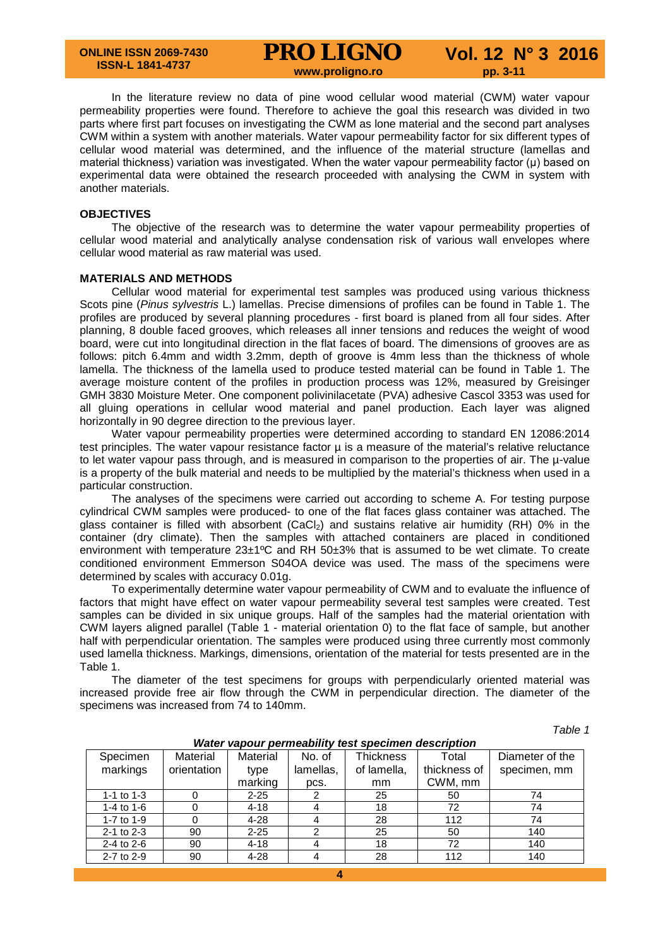In the literature review no data of pine wood cellular wood material (CWM) water vapour permeability properties were found. Therefore to achieve the goal this research was divided in two parts where first part focuses on investigating the CWM as lone material and the second part analyses CWM within a system with another materials. Water vapour permeability factor for six different types of cellular wood material was determined, and the influence of the material structure (lamellas and material thickness) variation was investigated. When the water vapour permeability factor (μ) based on experimental data were obtained the research proceeded with analysing the CWM in system with another materials.

### **OBJECTIVES**

The objective of the research was to determine the water vapour permeability properties of cellular wood material and analytically analyse condensation risk of various wall envelopes where cellular wood material as raw material was used.

# **MATERIALS AND METHODS**

Cellular wood material for experimental test samples was produced using various thickness Scots pine (*Pinus sylvestris* L.) lamellas. Precise dimensions of profiles can be found in Table 1. The profiles are produced by several planning procedures - first board is planed from all four sides. After planning, 8 double faced grooves, which releases all inner tensions and reduces the weight of wood board, were cut into longitudinal direction in the flat faces of board. The dimensions of grooves are as follows: pitch 6.4mm and width 3.2mm, depth of groove is 4mm less than the thickness of whole lamella. The thickness of the lamella used to produce tested material can be found in Table 1. The average moisture content of the profiles in production process was 12%, measured by Greisinger GMH 3830 Moisture Meter. One component polivinilacetate (PVA) adhesive Cascol 3353 was used for all gluing operations in cellular wood material and panel production. Each layer was aligned horizontally in 90 degree direction to the previous layer.

Water vapour permeability properties were determined according to standard EN 12086:2014 test principles. The water vapour resistance factor  $\mu$  is a measure of the material's relative reluctance to let water vapour pass through, and is measured in comparison to the properties of air. The µ-value is a property of the bulk material and needs to be multiplied by the material's thickness when used in a particular construction.

The analyses of the specimens were carried out according to scheme A. For testing purpose cylindrical CWM samples were produced- to one of the flat faces glass container was attached. The glass container is filled with absorbent (CaCl<sub>2</sub>) and sustains relative air humidity (RH) 0% in the container (dry climate). Then the samples with attached containers are placed in conditioned environment with temperature 23±1ºC and RH 50±3% that is assumed to be wet climate. To create conditioned environment Emmerson S04OA device was used. The mass of the specimens were determined by scales with accuracy 0.01g.

To experimentally determine water vapour permeability of CWM and to evaluate the influence of factors that might have effect on water vapour permeability several test samples were created. Test samples can be divided in six unique groups. Half of the samples had the material orientation with CWM layers aligned parallel (Table 1 - material orientation 0) to the flat face of sample, but another half with perpendicular orientation. The samples were produced using three currently most commonly used lamella thickness. Markings, dimensions, orientation of the material for tests presented are in the Table 1.

The diameter of the test specimens for groups with perpendicularly oriented material was increased provide free air flow through the CWM in perpendicular direction. The diameter of the specimens was increased from 74 to 140mm.

*Table 1*

| <i>rrater vapour permeabnity test specimen description</i> |             |          |           |             |              |                 |  |  |  |  |
|------------------------------------------------------------|-------------|----------|-----------|-------------|--------------|-----------------|--|--|--|--|
| Specimen                                                   | Material    | Material | No. of    | Thickness   | Total        | Diameter of the |  |  |  |  |
| markings                                                   | orientation | type     | lamellas, | of lamella, | thickness of | specimen, mm    |  |  |  |  |
|                                                            |             | marking  | pcs.      | mm          | CWM, mm      |                 |  |  |  |  |
| 1-1 to $1-3$                                               |             | $2 - 25$ |           | 25          | 50           | 74              |  |  |  |  |
| 1-4 to $1-6$                                               |             | $4 - 18$ |           | 18          | 72           | 74              |  |  |  |  |
| 1-7 to 1-9                                                 | 0           | $4 - 28$ |           | 28          | 112          | 74              |  |  |  |  |
| $2 - 1$ to $2 - 3$                                         | 90          | $2 - 25$ |           | 25          | 50           | 140             |  |  |  |  |
| $2 - 4$ to $2 - 6$                                         | 90          | $4 - 18$ |           | 18          | 72           | 140             |  |  |  |  |
| 2-7 to 2-9                                                 | 90          | $4 - 28$ | 4         | 28          | 112          | 140             |  |  |  |  |

*Water vapour permeability test specimen description*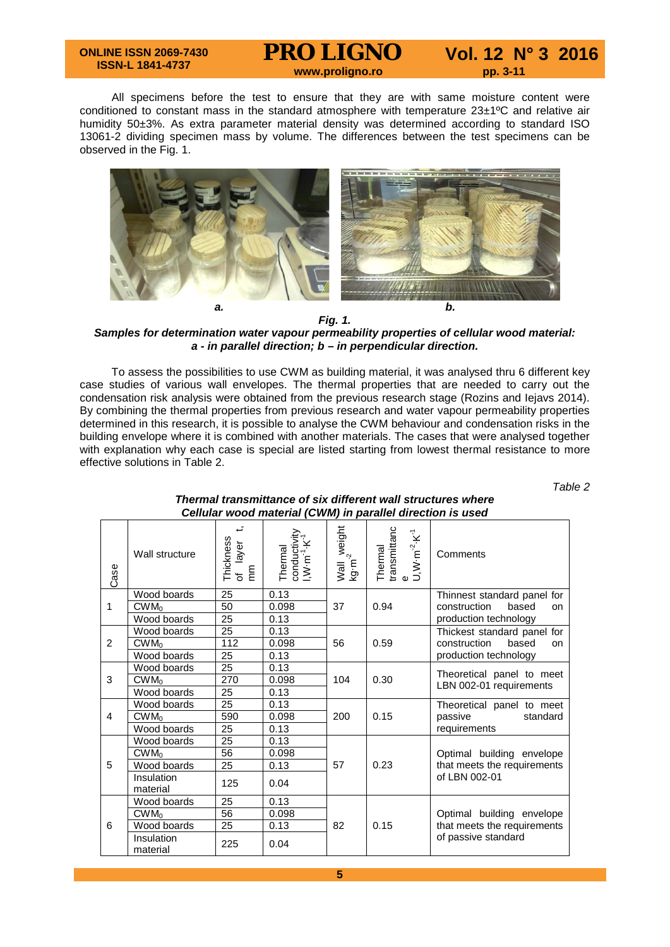# **ONLINE ISSN 2069-7430 ISSN-L 1841-4737**

**PRO LIGNO** Vol. 12 N° 3 2016

All specimens before the test to ensure that they are with same moisture content were conditioned to constant mass in the standard atmosphere with temperature 23±1ºC and relative air humidity 50±3%. As extra parameter material density was determined according to standard ISO 13061-2 dividing specimen mass by volume. The differences between the test specimens can be observed in the Fig. 1.



*Fig. 1.*

*Samples for determination water vapour permeability properties of cellular wood material: a - in parallel direction; b – in perpendicular direction.*

To assess the possibilities to use CWM as building material, it was analysed thru 6 different key case studies of various wall envelopes. The thermal properties that are needed to carry out the condensation risk analysis were obtained from the previous research stage (Rozins and Iejavs 2014). By combining the thermal properties from previous research and water vapour permeability properties determined in this research, it is possible to analyse the CWM behaviour and condensation risks in the building envelope where it is combined with another materials. The cases that were analysed together with explanation why each case is special are listed starting from lowest thermal resistance to more effective solutions in Table 2.

*Table 2*

| Case | Wall structure         | ÷<br>Thickness<br>of layer<br>mm | conductivity<br>I,W·m <sup>-1</sup> ·K <sup>-1</sup><br>Thermal | Wall weight<br>kg·m <sup>-2</sup> | transmittanc<br>e<br>U,W·m <sup>-2</sup> ·K <sup>-1</sup><br>Thermal | Comments                    |  |  |
|------|------------------------|----------------------------------|-----------------------------------------------------------------|-----------------------------------|----------------------------------------------------------------------|-----------------------------|--|--|
|      | Wood boards            | 25                               | 0.13                                                            |                                   |                                                                      | Thinnest standard panel for |  |  |
| 1    | $CWM_0$                | 50                               | 0.098                                                           | 37                                | 0.94                                                                 | based<br>construction<br>on |  |  |
|      | Wood boards            | 25                               | 0.13                                                            |                                   |                                                                      | production technology       |  |  |
|      | Wood boards            | 25                               | 0.13                                                            |                                   |                                                                      | Thickest standard panel for |  |  |
| 2    | $CWM_0$                | 112                              | 0.098                                                           | 56                                | 0.59                                                                 | construction<br>based<br>on |  |  |
|      | Wood boards            | 25                               | 0.13                                                            |                                   |                                                                      | production technology       |  |  |
|      | Wood boards            | 25                               | 0.13                                                            |                                   |                                                                      | Theoretical panel to meet   |  |  |
| 3    | $CWM_0$                | 270                              | 0.098                                                           | 104                               | 0.30                                                                 | LBN 002-01 requirements     |  |  |
|      | Wood boards            | 25                               | 0.13                                                            |                                   |                                                                      |                             |  |  |
|      | Wood boards            | 25                               | 0.13                                                            |                                   |                                                                      | Theoretical panel to meet   |  |  |
| 4    | $CWM_0$                | 590                              | 0.098                                                           | 200                               | 0.15                                                                 | passive<br>standard         |  |  |
|      | Wood boards            | 25                               | 0.13                                                            |                                   |                                                                      | requirements                |  |  |
|      | Wood boards            | 25                               | 0.13                                                            |                                   |                                                                      |                             |  |  |
|      | $CWM_0$                | 56                               | 0.098                                                           |                                   |                                                                      | Optimal building envelope   |  |  |
| 5    | Wood boards            | 25                               | 0.13                                                            | 57                                | 0.23                                                                 | that meets the requirements |  |  |
|      | Insulation<br>material | 125                              | 0.04                                                            |                                   |                                                                      | of LBN 002-01               |  |  |
|      | Wood boards            | 25                               | 0.13                                                            |                                   |                                                                      |                             |  |  |
|      | $CWM_0$                | 56                               | 0.098                                                           |                                   |                                                                      | Optimal building envelope   |  |  |
| 6    | Wood boards            | 25                               | 0.13                                                            | 82                                | 0.15                                                                 | that meets the requirements |  |  |
|      | Insulation<br>material | 225                              | 0.04                                                            |                                   |                                                                      | of passive standard         |  |  |

# *Thermal transmittance of six different wall structures where Cellular wood material (CWM) in parallel direction is used*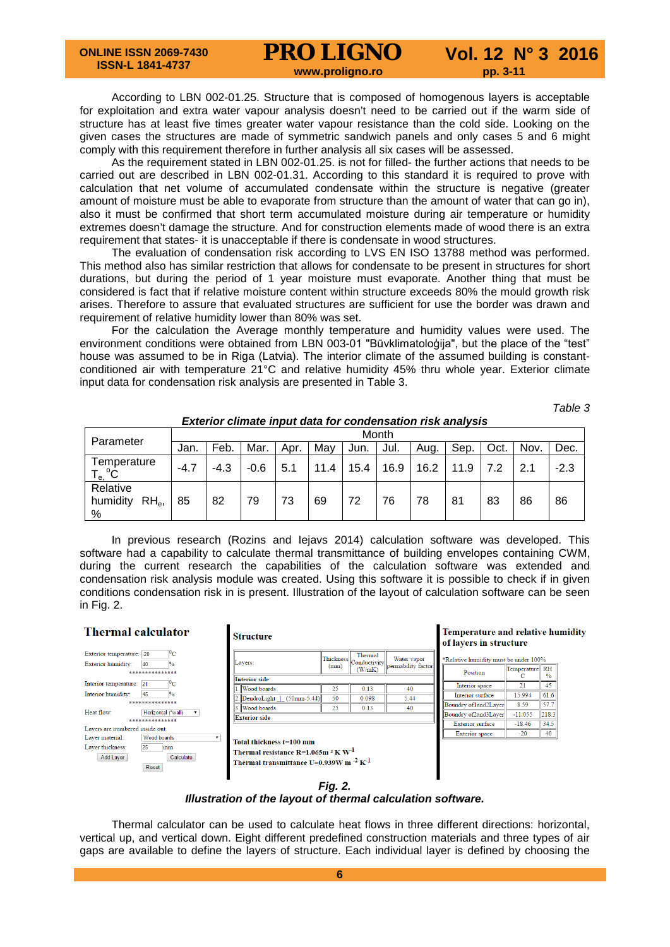According to LBN 002-01.25. Structure that is composed of homogenous layers is acceptable for exploitation and extra water vapour analysis doesn't need to be carried out if the warm side of structure has at least five times greater water vapour resistance than the cold side. Looking on the given cases the structures are made of symmetric sandwich panels and only cases 5 and 6 might comply with this requirement therefore in further analysis all six cases will be assessed.

As the requirement stated in LBN 002-01.25. is not for filled- the further actions that needs to be carried out are described in LBN 002-01.31. According to this standard it is required to prove with calculation that net volume of accumulated condensate within the structure is negative (greater amount of moisture must be able to evaporate from structure than the amount of water that can go in), also it must be confirmed that short term accumulated moisture during air temperature or humidity extremes doesn't damage the structure. And for construction elements made of wood there is an extra requirement that states- it is unacceptable if there is condensate in wood structures.

The evaluation of condensation risk according to LVS EN ISO 13788 method was performed. This method also has similar restriction that allows for condensate to be present in structures for short durations, but during the period of 1 year moisture must evaporate. Another thing that must be considered is fact that if relative moisture content within structure exceeds 80% the mould growth risk arises. Therefore to assure that evaluated structures are sufficient for use the border was drawn and requirement of relative humidity lower than 80% was set.

For the calculation the Average monthly temperature and humidity values were used. The environment conditions were obtained from LBN 003-01 "Būvklimatoloģija", but the place of the "test" house was assumed to be in Riga (Latvia). The interior climate of the assumed building is constantconditioned air with temperature 21°C and relative humidity 45% thru whole year. Exterior climate input data for condensation risk analysis are presented in Table 3.

*Table 3*

|                                       | LAGHUL CHINAG MDUL QAGHUL CONGCHSAUON HSK ANALYSIS |        |        |      |      |      |      |      |      |      |      |        |
|---------------------------------------|----------------------------------------------------|--------|--------|------|------|------|------|------|------|------|------|--------|
|                                       |                                                    | Month  |        |      |      |      |      |      |      |      |      |        |
| Parameter                             | Jan.                                               | Feb.   | Mar.   | Apr. | Mav  | Jun. | Jul. | Aug. | Sep. | Oct. | Nov. | Dec.   |
| Temperature<br>$\cdot e$ $^{\circ}C$  | $-4.7$                                             | $-4.3$ | $-0.6$ | 5.1  | 11.4 | 15.4 | 16.9 | 16.2 | 11.9 | 7.2  | 2.1  | $-2.3$ |
| Relative<br>humidity<br>$RH_{e}$<br>% | 85                                                 | 82     | 79     | 73   | 69   | 72   | 76   | 78   | 81   | 83   | 86   | 86     |

*Exterior climate input data for condensation risk analysis*

In previous research (Rozins and Iejavs 2014) calculation software was developed. This software had a capability to calculate thermal transmittance of building envelopes containing CWM, during the current research the capabilities of the calculation software was extended and condensation risk analysis module was created. Using this software it is possible to check if in given conditions condensation risk in is present. Illustration of the layout of calculation software can be seen in Fig. 2.

# **Thermal calculator**

# **Structure**

| Exterior temperature: -20       | ۳C                                     |                                                          |                                     | Therm |
|---------------------------------|----------------------------------------|----------------------------------------------------------|-------------------------------------|-------|
| Exterior humidity:              | $\frac{1}{2}$<br>40                    | Lavers:                                                  | $  $ Thickness $  $ Conduct<br>(mm) |       |
|                                 | **************                         |                                                          |                                     | (W/m) |
| Interior temperature:           | $^{0}$ C<br>21                         | <b>Interior side</b>                                     |                                     |       |
|                                 |                                        | <b>Wood</b> boards                                       | 25                                  | 0.13  |
| Interior humidity:              | 45<br>$\frac{0}{2}$<br>*************** | $2.$ DendroLight   $(50$ mm-5.44)                        | 50                                  | 0.09  |
| Heat flow:                      | Horizontal (*wall)                     | 3 Wood boards                                            | 25                                  | 0.13  |
|                                 | ***************                        | <b>Exterior side</b>                                     |                                     |       |
| Lavers are numbered inside out. |                                        |                                                          |                                     |       |
| Layer material:                 | Wood boards                            | Total thickness t=100 mm                                 |                                     |       |
| Layer thickness:                | 25<br>mm                               |                                                          |                                     |       |
| Add Layer                       | Calculate                              | Thermal resistance R=1.065m $^2$ K W <sup>-1</sup>       |                                     |       |
|                                 | Reset                                  | Thermal transmittance U=0.939W m $^{-2}$ K <sup>-1</sup> |                                     |       |
|                                 |                                        |                                                          |                                     |       |

| (mm)                                     | Thermal<br>(W/mK) | Water vapor<br>permability factor          |
|------------------------------------------|-------------------|--------------------------------------------|
|                                          |                   |                                            |
| 25                                       | 0.13              | 40                                         |
| $2$ . DendroLight   $(50$ mm-5.44)<br>50 | 0.098             | 5.44                                       |
| 25                                       | 0.13              | 40                                         |
|                                          |                   |                                            |
|                                          |                   | $\ {\rm Thickness}\ _{\rm Conductivity}\ $ |

# Temperature and relative humidity of layers in structure

| *Relative humidity must be under 100% |                |               |  |  |  |  |  |  |
|---------------------------------------|----------------|---------------|--|--|--|--|--|--|
| Position                              | Temperature RH | $\frac{0}{0}$ |  |  |  |  |  |  |
| Interior space                        | 21             | 45            |  |  |  |  |  |  |
| Interior surface                      | 15.994         | 61.6          |  |  |  |  |  |  |
| Boundry of1and2Layer                  | 8.59           | 57.7          |  |  |  |  |  |  |
| Boundry of2and3Layer                  | $-11055$       | 218.3         |  |  |  |  |  |  |
| <b>Exterior surface</b>               | $-18.46$       | 34.5          |  |  |  |  |  |  |
| <b>Exterior</b> space                 | -20            | 40            |  |  |  |  |  |  |



# *Illustration of the layout of thermal calculation software.*

Thermal calculator can be used to calculate heat flows in three different directions: horizontal, vertical up, and vertical down. Eight different predefined construction materials and three types of air gaps are available to define the layers of structure. Each individual layer is defined by choosing the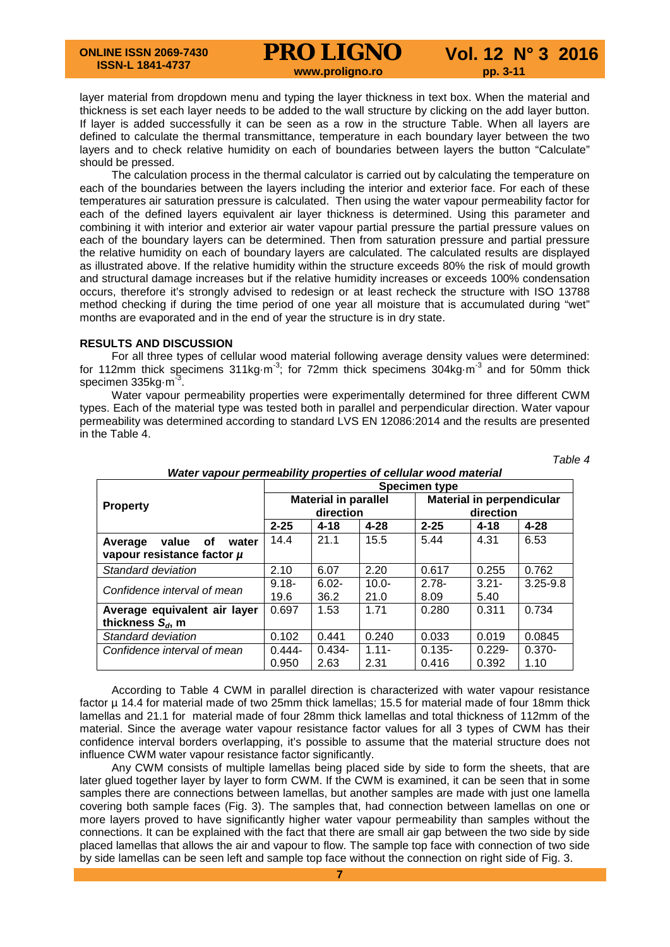layer material from dropdown menu and typing the layer thickness in text box. When the material and thickness is set each layer needs to be added to the wall structure by clicking on the add layer button. If layer is added successfully it can be seen as a row in the structure Table. When all layers are defined to calculate the thermal transmittance, temperature in each boundary layer between the two layers and to check relative humidity on each of boundaries between layers the button "Calculate" should be pressed.

The calculation process in the thermal calculator is carried out by calculating the temperature on each of the boundaries between the layers including the interior and exterior face. For each of these temperatures air saturation pressure is calculated. Then using the water vapour permeability factor for each of the defined layers equivalent air layer thickness is determined. Using this parameter and combining it with interior and exterior air water vapour partial pressure the partial pressure values on each of the boundary layers can be determined. Then from saturation pressure and partial pressure the relative humidity on each of boundary layers are calculated. The calculated results are displayed as illustrated above. If the relative humidity within the structure exceeds 80% the risk of mould growth and structural damage increases but if the relative humidity increases or exceeds 100% condensation occurs, therefore it's strongly advised to redesign or at least recheck the structure with ISO 13788 method checking if during the time period of one year all moisture that is accumulated during "wet" months are evaporated and in the end of year the structure is in dry state.

## **RESULTS AND DISCUSSION**

For all three types of cellular wood material following average density values were determined: for 112mm thick specimens 311kg $\cdot$ m<sup>-3</sup>; for 72mm thick specimens 304kg $\cdot$ m<sup>-3</sup> and for 50mm thick specimen 335kg m<sup>3</sup>.

Water vapour permeability properties were experimentally determined for three different CWM types. Each of the material type was tested both in parallel and perpendicular direction. Water vapour permeability was determined according to standard LVS EN 12086:2014 and the results are presented in the Table 4.

*Table 4*

|                                 | <u>Hater Tapour permeabinty properties or central wood material</u> |                             |          |                                  |           |              |  |  |  |  |  |
|---------------------------------|---------------------------------------------------------------------|-----------------------------|----------|----------------------------------|-----------|--------------|--|--|--|--|--|
|                                 | <b>Specimen type</b>                                                |                             |          |                                  |           |              |  |  |  |  |  |
| <b>Property</b>                 |                                                                     | <b>Material in parallel</b> |          | <b>Material in perpendicular</b> |           |              |  |  |  |  |  |
|                                 |                                                                     | direction                   |          |                                  | direction |              |  |  |  |  |  |
|                                 | $2 - 25$                                                            | $4 - 18$                    | $4 - 28$ | $2 - 25$                         | $4 - 18$  | $4 - 28$     |  |  |  |  |  |
| value<br>Average<br>οf<br>water | 14.4                                                                | 21.1                        | 15.5     | 5.44                             | 4.31      | 6.53         |  |  |  |  |  |
| vapour resistance factor µ      |                                                                     |                             |          |                                  |           |              |  |  |  |  |  |
| Standard deviation              | 2.10                                                                | 6.07                        | 2.20     | 0.617                            | 0.255     | 0.762        |  |  |  |  |  |
| Confidence interval of mean     | $9.18 -$                                                            | $6.02 -$                    | $10.0 -$ | $2.78 -$                         | $3.21 -$  | $3.25 - 9.8$ |  |  |  |  |  |
|                                 | 19.6                                                                | 36.2                        | 21.0     | 8.09                             | 5.40      |              |  |  |  |  |  |
| Average equivalent air layer    | 0.697                                                               | 1.53                        | 1.71     | 0.280                            | 0.311     | 0.734        |  |  |  |  |  |
| thickness $S_d$ , m             |                                                                     |                             |          |                                  |           |              |  |  |  |  |  |
| Standard deviation              | 0.102                                                               | 0.441                       | 0.240    | 0.033                            | 0.019     | 0.0845       |  |  |  |  |  |
| Confidence interval of mean     | $0.444 -$                                                           | $0.434 -$                   | $1.11 -$ | $0.135 -$                        | $0.229 -$ | $0.370 -$    |  |  |  |  |  |
|                                 | 0.950                                                               | 2.63                        | 2.31     | 0.416                            | 0.392     | 1.10         |  |  |  |  |  |

*Water vapour permeability properties of cellular wood material*

According to Table 4 CWM in parallel direction is characterized with water vapour resistance factor µ 14.4 for material made of two 25mm thick lamellas; 15.5 for material made of four 18mm thick lamellas and 21.1 for material made of four 28mm thick lamellas and total thickness of 112mm of the material. Since the average water vapour resistance factor values for all 3 types of CWM has their confidence interval borders overlapping, it's possible to assume that the material structure does not influence CWM water vapour resistance factor significantly.

Any CWM consists of multiple lamellas being placed side by side to form the sheets, that are later glued together layer by layer to form CWM. If the CWM is examined, it can be seen that in some samples there are connections between lamellas, but another samples are made with just one lamella covering both sample faces (Fig. 3). The samples that, had connection between lamellas on one or more layers proved to have significantly higher water vapour permeability than samples without the connections. It can be explained with the fact that there are small air gap between the two side by side placed lamellas that allows the air and vapour to flow. The sample top face with connection of two side by side lamellas can be seen left and sample top face without the connection on right side of Fig. 3.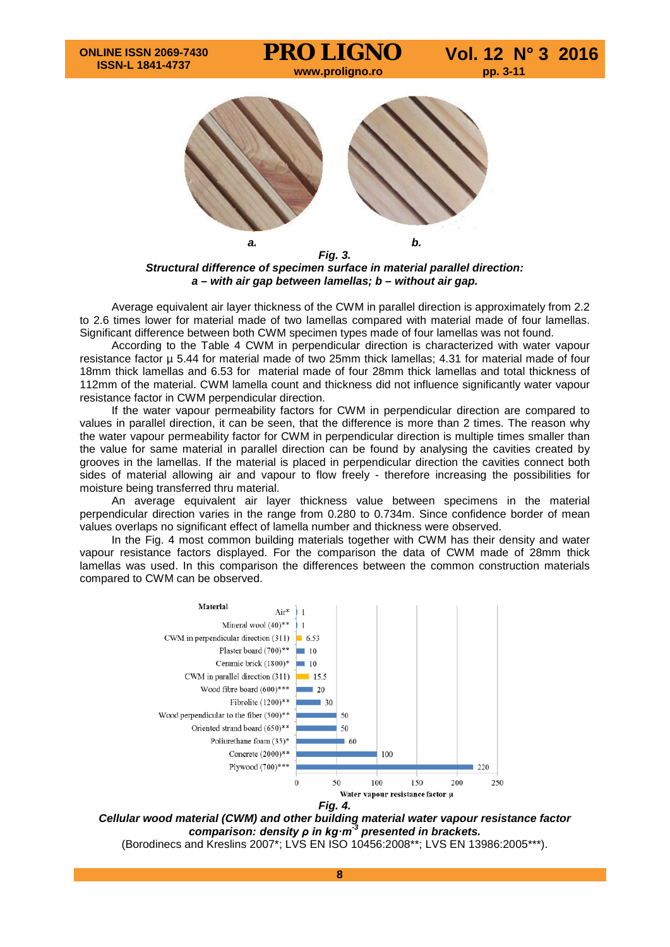*a. b.*

*Fig. 3. Structural difference of specimen surface in material parallel direction: a – with air gap between lamellas; b – without air gap.*

Average equivalent air layer thickness of the CWM in parallel direction is approximately from 2.2 to 2.6 times lower for material made of two lamellas compared with material made of four lamellas. Significant difference between both CWM specimen types made of four lamellas was not found.

According to the Table 4 CWM in perpendicular direction is characterized with water vapour resistance factor µ 5.44 for material made of two 25mm thick lamellas; 4.31 for material made of four 18mm thick lamellas and 6.53 for material made of four 28mm thick lamellas and total thickness of 112mm of the material. CWM lamella count and thickness did not influence significantly water vapour resistance factor in CWM perpendicular direction.

If the water vapour permeability factors for CWM in perpendicular direction are compared to values in parallel direction, it can be seen, that the difference is more than 2 times. The reason why the water vapour permeability factor for CWM in perpendicular direction is multiple times smaller than the value for same material in parallel direction can be found by analysing the cavities created by grooves in the lamellas. If the material is placed in perpendicular direction the cavities connect both sides of material allowing air and vapour to flow freely - therefore increasing the possibilities for moisture being transferred thru material.

An average equivalent air layer thickness value between specimens in the material perpendicular direction varies in the range from 0.280 to 0.734m. Since confidence border of mean values overlaps no significant effect of lamella number and thickness were observed.

In the Fig. 4 most common building materials together with CWM has their density and water vapour resistance factors displayed. For the comparison the data of CWM made of 28mm thick lamellas was used. In this comparison the differences between the common construction materials compared to CWM can be observed.



*Cellular wood material (CWM) and other building material water vapour resistance factor comparison: density ρ in kg·m-3 presented in brackets.*

(Borodinecs and Kreslins 2007\*; LVS EN ISO 10456:2008\*\*; LVS EN 13986:2005\*\*\*).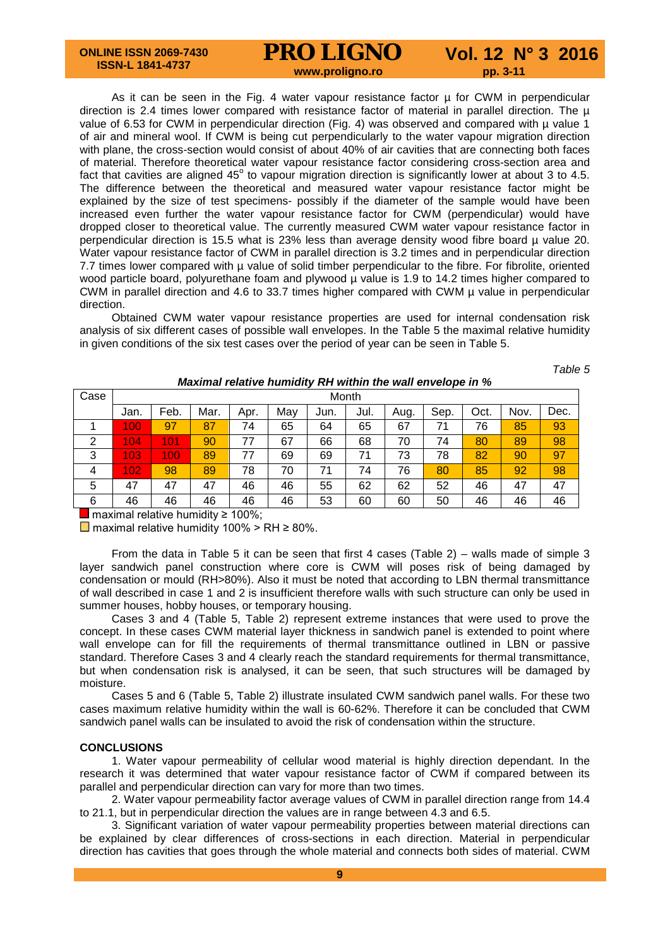As it can be seen in the Fig. 4 water vapour resistance factor  $\mu$  for CWM in perpendicular direction is 2.4 times lower compared with resistance factor of material in parallel direction. The  $\mu$ value of 6.53 for CWM in perpendicular direction (Fig. 4) was observed and compared with  $\mu$  value 1 of air and mineral wool. If CWM is being cut perpendicularly to the water vapour migration direction with plane, the cross-section would consist of about 40% of air cavities that are connecting both faces of material. Therefore theoretical water vapour resistance factor considering cross-section area and fact that cavities are aligned  $45^\circ$  to vapour migration direction is significantly lower at about 3 to 4.5. The difference between the theoretical and measured water vapour resistance factor might be explained by the size of test specimens- possibly if the diameter of the sample would have been increased even further the water vapour resistance factor for CWM (perpendicular) would have dropped closer to theoretical value. The currently measured CWM water vapour resistance factor in perpendicular direction is 15.5 what is 23% less than average density wood fibre board  $\mu$  value 20. Water vapour resistance factor of CWM in parallel direction is 3.2 times and in perpendicular direction 7.7 times lower compared with µ value of solid timber perpendicular to the fibre. For fibrolite, oriented wood particle board, polyurethane foam and plywood µ value is 1.9 to 14.2 times higher compared to CWM in parallel direction and 4.6 to 33.7 times higher compared with CWM µ value in perpendicular direction.

Obtained CWM water vapour resistance properties are used for internal condensation risk analysis of six different cases of possible wall envelopes. In the Table 5 the maximal relative humidity in given conditions of the six test cases over the period of year can be seen in Table 5.

*Table 5*

| Case | Month |      |      |      |     |      |      |      |      |      |      |      |
|------|-------|------|------|------|-----|------|------|------|------|------|------|------|
|      | Jan.  | Feb. | Mar. | Apr. | May | Jun. | Jul. | Aug. | Sep. | Oct. | Nov. | Dec. |
|      | 100   | 97   | 87   | 74   | 65  | 64   | 65   | 67   | 71   | 76   | 85   | 93   |
| 2    | 104   | 101  | 90   | 77   | 67  | 66   | 68   | 70   | 74   | 80   | 89   | 98   |
| 3    | 103   | 100  | 89   | 77   | 69  | 69   | 71   | 73   | 78   | 82   | 90   | 97   |
| 4    | 102   | 98   | 89   | 78   | 70  | 71   | 74   | 76   | 80   | 85   | 92   | 98   |
| 5    | 47    | 47   | 47   | 46   | 46  | 55   | 62   | 62   | 52   | 46   | 47   | 47   |
| 6    | 46    | 46   | 46   | 46   | 46  | 53   | 60   | 60   | 50   | 46   | 46   | 46   |

*Maximal relative humidity RH within the wall envelope in %*

maximal relative humidity ≥ 100%;

 $\Box$  maximal relative humidity 100% > RH ≥ 80%.

From the data in Table 5 it can be seen that first 4 cases (Table  $2$ ) – walls made of simple 3 layer sandwich panel construction where core is CWM will poses risk of being damaged by condensation or mould (RH>80%). Also it must be noted that according to LBN thermal transmittance of wall described in case 1 and 2 is insufficient therefore walls with such structure can only be used in summer houses, hobby houses, or temporary housing.

Cases 3 and 4 (Table 5, Table 2) represent extreme instances that were used to prove the concept. In these cases CWM material layer thickness in sandwich panel is extended to point where wall envelope can for fill the requirements of thermal transmittance outlined in LBN or passive standard. Therefore Cases 3 and 4 clearly reach the standard requirements for thermal transmittance, but when condensation risk is analysed, it can be seen, that such structures will be damaged by moisture.

Cases 5 and 6 (Table 5, Table 2) illustrate insulated CWM sandwich panel walls. For these two cases maximum relative humidity within the wall is 60-62%. Therefore it can be concluded that CWM sandwich panel walls can be insulated to avoid the risk of condensation within the structure.

# **CONCLUSIONS**

1. Water vapour permeability of cellular wood material is highly direction dependant. In the research it was determined that water vapour resistance factor of CWM if compared between its parallel and perpendicular direction can vary for more than two times.

2. Water vapour permeability factor average values of CWM in parallel direction range from 14.4 to 21.1, but in perpendicular direction the values are in range between 4.3 and 6.5.

3. Significant variation of water vapour permeability properties between material directions can be explained by clear differences of cross-sections in each direction. Material in perpendicular direction has cavities that goes through the whole material and connects both sides of material. CWM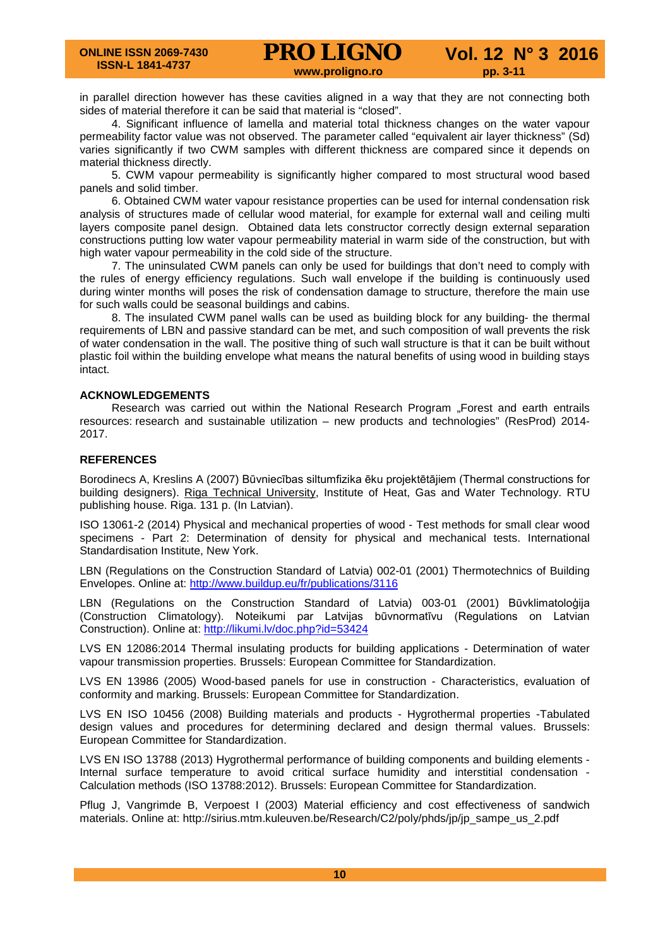in parallel direction however has these cavities aligned in a way that they are not connecting both sides of material therefore it can be said that material is "closed".

4. Significant influence of lamella and material total thickness changes on the water vapour permeability factor value was not observed. The parameter called "equivalent air layer thickness" (Sd) varies significantly if two CWM samples with different thickness are compared since it depends on material thickness directly.

5. CWM vapour permeability is significantly higher compared to most structural wood based panels and solid timber.

6. Obtained CWM water vapour resistance properties can be used for internal condensation risk analysis of structures made of cellular wood material, for example for external wall and ceiling multi layers composite panel design. Obtained data lets constructor correctly design external separation constructions putting low water vapour permeability material in warm side of the construction, but with high water vapour permeability in the cold side of the structure.

7. The uninsulated CWM panels can only be used for buildings that don't need to comply with the rules of energy efficiency regulations. Such wall envelope if the building is continuously used during winter months will poses the risk of condensation damage to structure, therefore the main use for such walls could be seasonal buildings and cabins.

8. The insulated CWM panel walls can be used as building block for any building- the thermal requirements of LBN and passive standard can be met, and such composition of wall prevents the risk of water condensation in the wall. The positive thing of such wall structure is that it can be built without plastic foil within the building envelope what means the natural benefits of using wood in building stays intact.

# **ACKNOWLEDGEMENTS**

Research was carried out within the National Research Program "Forest and earth entrails resources: research and sustainable utilization – new products and technologies" (ResProd) 2014- 2017.

## **REFERENCES**

Borodinecs A, Kreslins A (2007) Būvniecības siltumfizika ēku projektētājiem (Thermal constructions for building designers). [Riga Technical University,](https://www.google.lv/url?sa=t&rct=j&q=&esrc=s&source=web&cd=1&cad=rja&uact=8&ved=0ahUKEwip3Nz_toTMAhWF1SwKHeI3D6IQFggaMAA&url=http%3A%2F%2Fwww.rtu.lv%2Fen%2F&usg=AFQjCNH-d-uQUDFxtw2nNmYR_6Th_FjCwQ&sig2=iOVeTFwpyBjuNJ7bzxwS5w&bvm=bv.119028448,d.bGg) Institute of Heat, Gas and Water Technology. RTU publishing house. Riga. 131 p. (In Latvian).

ISO 13061-2 (2014) Physical and mechanical properties of wood - Test methods for small clear wood specimens - Part 2: Determination of density for physical and mechanical tests. International Standardisation Institute, New York.

LBN (Regulations on the Construction Standard of Latvia) 002-01 (2001) Thermotechnics of Building Envelopes. Online at:<http://www.buildup.eu/fr/publications/3116>

LBN (Regulations on the Construction Standard of Latvia) 003-01 (2001) Būvklimatoloģija (Construction Climatology). Noteikumi par Latvijas būvnormatīvu (Regulations on Latvian Construction). Online at:<http://likumi.lv/doc.php?id=53424>

LVS EN 12086:2014 Thermal insulating products for building applications - Determination of water vapour transmission properties. Brussels: European Committee for Standardization.

LVS EN 13986 (2005) Wood-based panels for use in construction - Characteristics, evaluation of conformity and marking. Brussels: European Committee for Standardization.

LVS EN ISO 10456 (2008) Building materials and products - Hygrothermal properties -Tabulated design values and procedures for determining declared and design thermal values. Brussels: European Committee for Standardization.

LVS EN ISO 13788 (2013) Hygrothermal performance of building components and building elements - Internal surface temperature to avoid critical surface humidity and interstitial condensation -Calculation methods (ISO 13788:2012). Brussels: European Committee for Standardization.

Pflug J, Vangrimde B, Verpoest I (2003) Material efficiency and cost effectiveness of sandwich materials. Online at: [http://sirius.mtm.kuleuven.be/Research/C2/poly/phds/jp/jp\\_sampe\\_us\\_2.pdf](http://sirius.mtm.kuleuven.be/Research/C2/poly/phds/jp/jp_sampe_us_2.pdf)